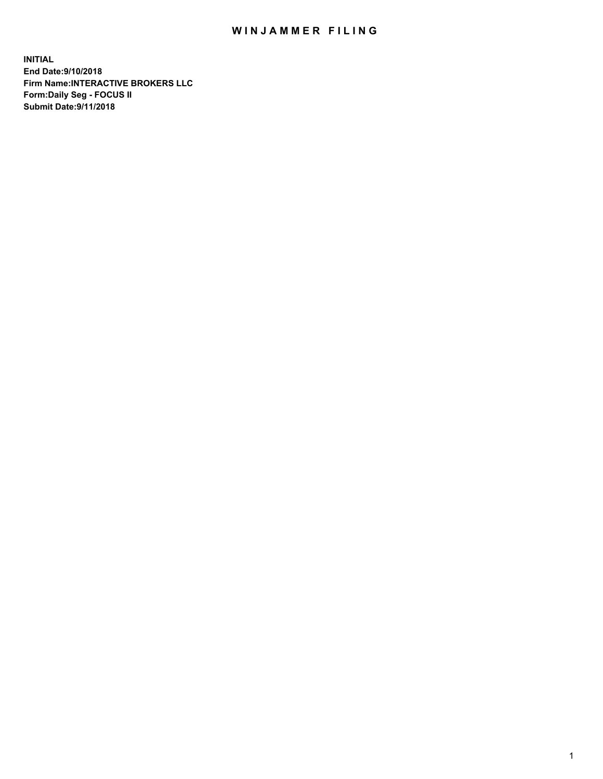## WIN JAMMER FILING

**INITIAL End Date:9/10/2018 Firm Name:INTERACTIVE BROKERS LLC Form:Daily Seg - FOCUS II Submit Date:9/11/2018**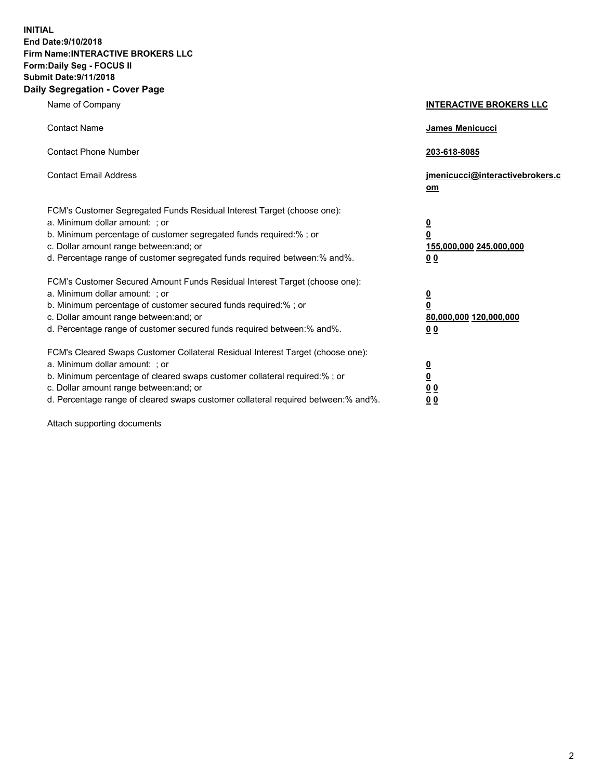**INITIAL End Date:9/10/2018 Firm Name:INTERACTIVE BROKERS LLC Form:Daily Seg - FOCUS II Submit Date:9/11/2018 Daily Segregation - Cover Page**

| Name of Company                                                                                                                                                                                                                                                                                                                | <b>INTERACTIVE BROKERS LLC</b>                                                                  |
|--------------------------------------------------------------------------------------------------------------------------------------------------------------------------------------------------------------------------------------------------------------------------------------------------------------------------------|-------------------------------------------------------------------------------------------------|
| <b>Contact Name</b>                                                                                                                                                                                                                                                                                                            | James Menicucci                                                                                 |
| <b>Contact Phone Number</b>                                                                                                                                                                                                                                                                                                    | 203-618-8085                                                                                    |
| <b>Contact Email Address</b>                                                                                                                                                                                                                                                                                                   | jmenicucci@interactivebrokers.c<br>om                                                           |
| FCM's Customer Segregated Funds Residual Interest Target (choose one):<br>a. Minimum dollar amount: ; or<br>b. Minimum percentage of customer segregated funds required:% ; or<br>c. Dollar amount range between: and; or<br>d. Percentage range of customer segregated funds required between:% and%.                         | $\overline{\mathbf{0}}$<br>$\overline{\mathbf{0}}$<br>155,000,000 245,000,000<br>0 <sub>0</sub> |
| FCM's Customer Secured Amount Funds Residual Interest Target (choose one):<br>a. Minimum dollar amount: ; or<br>b. Minimum percentage of customer secured funds required:% ; or<br>c. Dollar amount range between: and; or<br>d. Percentage range of customer secured funds required between:% and%.                           | $\overline{\mathbf{0}}$<br>0<br>80,000,000 120,000,000<br>0 <sub>0</sub>                        |
| FCM's Cleared Swaps Customer Collateral Residual Interest Target (choose one):<br>a. Minimum dollar amount: ; or<br>b. Minimum percentage of cleared swaps customer collateral required:% ; or<br>c. Dollar amount range between: and; or<br>d. Percentage range of cleared swaps customer collateral required between:% and%. | $\overline{\mathbf{0}}$<br><u>0</u><br>$\underline{0}$ $\underline{0}$<br>00                    |

Attach supporting documents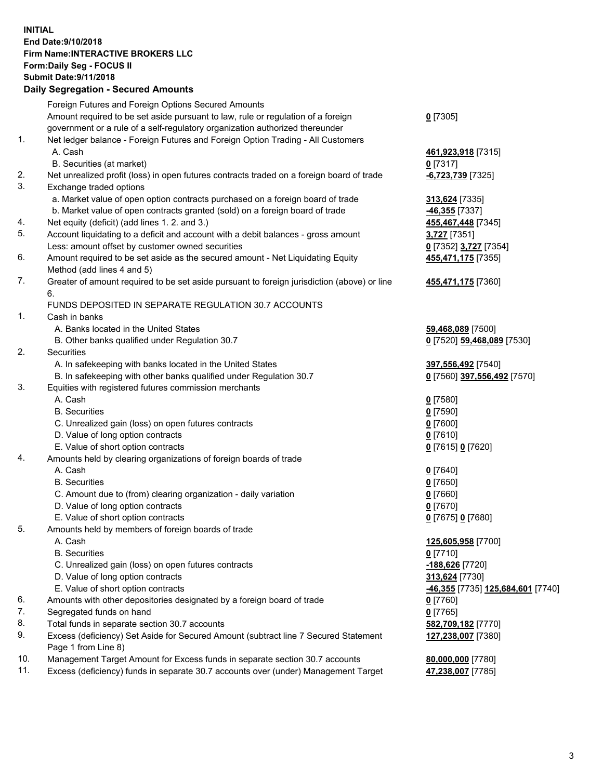## **INITIAL End Date:9/10/2018 Firm Name:INTERACTIVE BROKERS LLC Form:Daily Seg - FOCUS II Submit Date:9/11/2018 Daily Segregation - Secured Amounts**

|     | Daily Segregation - Secured Amounts                                                                  |                                                 |
|-----|------------------------------------------------------------------------------------------------------|-------------------------------------------------|
|     | Foreign Futures and Foreign Options Secured Amounts                                                  |                                                 |
|     | Amount required to be set aside pursuant to law, rule or regulation of a foreign                     | $0$ [7305]                                      |
|     | government or a rule of a self-regulatory organization authorized thereunder                         |                                                 |
| 1.  | Net ledger balance - Foreign Futures and Foreign Option Trading - All Customers                      |                                                 |
|     | A. Cash                                                                                              | 461,923,918 [7315]                              |
|     | B. Securities (at market)                                                                            | $0$ [7317]                                      |
| 2.  | Net unrealized profit (loss) in open futures contracts traded on a foreign board of trade            | -6,723,739 [7325]                               |
| 3.  | Exchange traded options                                                                              |                                                 |
|     | a. Market value of open option contracts purchased on a foreign board of trade                       | 313,624 [7335]                                  |
|     | b. Market value of open contracts granted (sold) on a foreign board of trade                         | -46,355 [7337]                                  |
| 4.  | Net equity (deficit) (add lines 1. 2. and 3.)                                                        | 455,467,448 [7345]                              |
| 5.  | Account liquidating to a deficit and account with a debit balances - gross amount                    | 3,727 [7351]                                    |
|     | Less: amount offset by customer owned securities                                                     | 0 [7352] 3,727 [7354]                           |
| 6.  | Amount required to be set aside as the secured amount - Net Liquidating Equity                       | 455,471,175 [7355]                              |
|     | Method (add lines 4 and 5)                                                                           |                                                 |
| 7.  | Greater of amount required to be set aside pursuant to foreign jurisdiction (above) or line          | 455,471,175 [7360]                              |
|     | 6.                                                                                                   |                                                 |
|     | FUNDS DEPOSITED IN SEPARATE REGULATION 30.7 ACCOUNTS                                                 |                                                 |
| 1.  | Cash in banks                                                                                        |                                                 |
|     | A. Banks located in the United States                                                                | 59,468,089 [7500]                               |
|     | B. Other banks qualified under Regulation 30.7                                                       | 0 [7520] 59,468,089 [7530]                      |
| 2.  | <b>Securities</b>                                                                                    |                                                 |
|     | A. In safekeeping with banks located in the United States                                            | 397,556,492 [7540]                              |
|     | B. In safekeeping with other banks qualified under Regulation 30.7                                   | 0 [7560] 397,556,492 [7570]                     |
| 3.  | Equities with registered futures commission merchants                                                |                                                 |
|     | A. Cash                                                                                              | $0$ [7580]                                      |
|     | <b>B.</b> Securities                                                                                 | $0$ [7590]                                      |
|     | C. Unrealized gain (loss) on open futures contracts                                                  | $0$ [7600]                                      |
|     | D. Value of long option contracts                                                                    | $0$ [7610]                                      |
|     | E. Value of short option contracts                                                                   | 0 [7615] 0 [7620]                               |
| 4.  | Amounts held by clearing organizations of foreign boards of trade<br>A. Cash                         |                                                 |
|     | <b>B.</b> Securities                                                                                 | $0$ [7640]                                      |
|     |                                                                                                      | $0$ [7650]                                      |
|     | C. Amount due to (from) clearing organization - daily variation<br>D. Value of long option contracts | $0$ [7660]<br>$0$ [7670]                        |
|     | E. Value of short option contracts                                                                   |                                                 |
| 5.  |                                                                                                      | 0 [7675] 0 [7680]                               |
|     | Amounts held by members of foreign boards of trade<br>A. Cash                                        | 125,605,958 [7700]                              |
|     | <b>B.</b> Securities                                                                                 | $0$ [7710]                                      |
|     | C. Unrealized gain (loss) on open futures contracts                                                  | -188,626 <sup>[7720]</sup>                      |
|     | D. Value of long option contracts                                                                    | 313,624 [7730]                                  |
|     | E. Value of short option contracts                                                                   | <u>-46,355</u> [7735] <u>125,684,601</u> [7740] |
| 6.  | Amounts with other depositories designated by a foreign board of trade                               | $0$ [7760]                                      |
| 7.  | Segregated funds on hand                                                                             | $0$ [7765]                                      |
| 8.  | Total funds in separate section 30.7 accounts                                                        | 582,709,182 [7770]                              |
| 9.  | Excess (deficiency) Set Aside for Secured Amount (subtract line 7 Secured Statement                  | 127,238,007 [7380]                              |
|     | Page 1 from Line 8)                                                                                  |                                                 |
| 10. | Management Target Amount for Excess funds in separate section 30.7 accounts                          | 80,000,000 [7780]                               |
| 11. | Excess (deficiency) funds in separate 30.7 accounts over (under) Management Target                   | 47,238,007 [7785]                               |
|     |                                                                                                      |                                                 |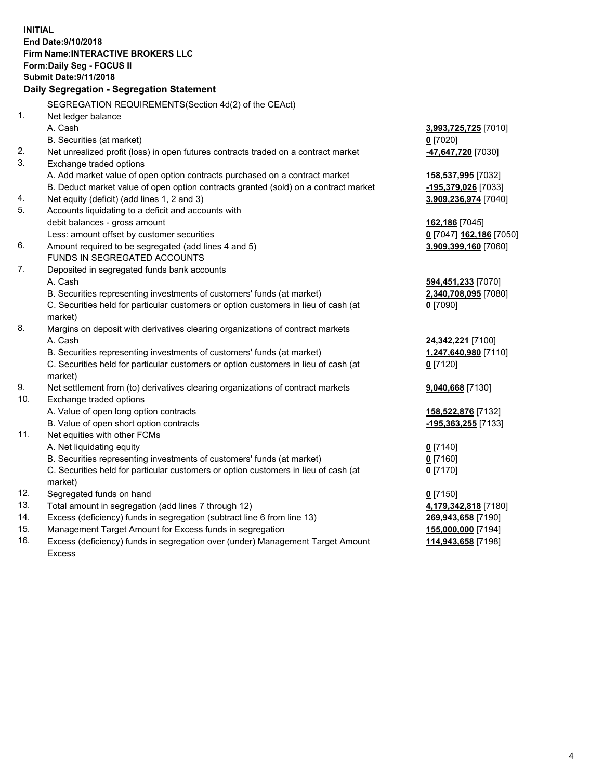**INITIAL End Date:9/10/2018 Firm Name:INTERACTIVE BROKERS LLC Form:Daily Seg - FOCUS II Submit Date:9/11/2018 Daily Segregation - Segregation Statement** SEGREGATION REQUIREMENTS(Section 4d(2) of the CEAct) 1. Net ledger balance A. Cash **3,993,725,725** [7010] B. Securities (at market) **0** [7020] 2. Net unrealized profit (loss) in open futures contracts traded on a contract market **-47,647,720** [7030] 3. Exchange traded options A. Add market value of open option contracts purchased on a contract market **158,537,995** [7032] B. Deduct market value of open option contracts granted (sold) on a contract market **-195,379,026** [7033] 4. Net equity (deficit) (add lines 1, 2 and 3) **3,909,236,974** [7040] 5. Accounts liquidating to a deficit and accounts with debit balances - gross amount **162,186** [7045] Less: amount offset by customer securities **0** [7047] **162,186** [7050] 6. Amount required to be segregated (add lines 4 and 5) **3,909,399,160** [7060] FUNDS IN SEGREGATED ACCOUNTS 7. Deposited in segregated funds bank accounts A. Cash **594,451,233** [7070] B. Securities representing investments of customers' funds (at market) **2,340,708,095** [7080] C. Securities held for particular customers or option customers in lieu of cash (at market) **0** [7090] 8. Margins on deposit with derivatives clearing organizations of contract markets A. Cash **24,342,221** [7100] B. Securities representing investments of customers' funds (at market) **1,247,640,980** [7110] C. Securities held for particular customers or option customers in lieu of cash (at market) **0** [7120] 9. Net settlement from (to) derivatives clearing organizations of contract markets **9,040,668** [7130] 10. Exchange traded options A. Value of open long option contracts **158,522,876** [7132] B. Value of open short option contracts **-195,363,255** [7133] 11. Net equities with other FCMs A. Net liquidating equity **0** [7140] B. Securities representing investments of customers' funds (at market) **0** [7160] C. Securities held for particular customers or option customers in lieu of cash (at market) **0** [7170] 12. Segregated funds on hand **0** [7150] 13. Total amount in segregation (add lines 7 through 12) **4,179,342,818** [7180] 14. Excess (deficiency) funds in segregation (subtract line 6 from line 13) **269,943,658** [7190] 15. Management Target Amount for Excess funds in segregation **155,000,000** [7194] **114,943,658** [7198]

16. Excess (deficiency) funds in segregation over (under) Management Target Amount Excess